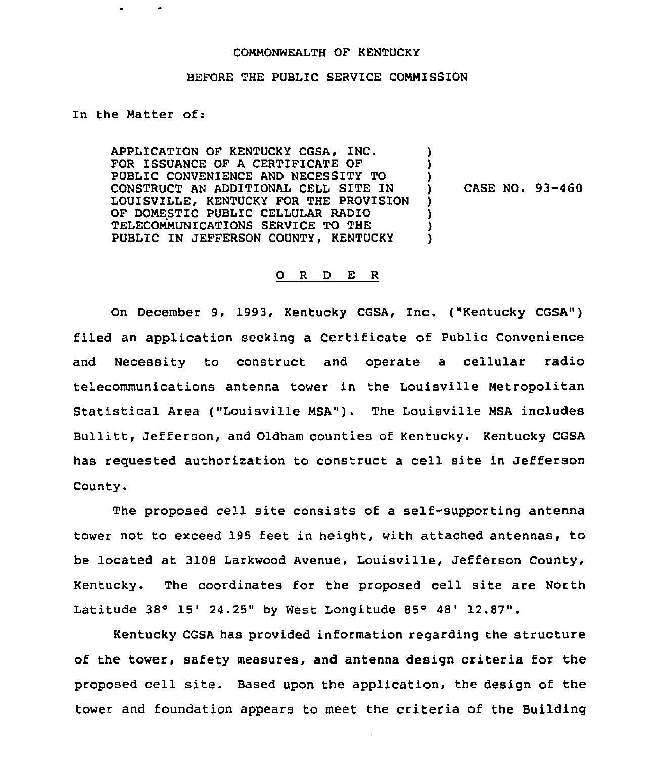## COMMONWEALTH OF KENTUCKY

## BEFORE THE PUBLIC SERVICE COMMISSION

## In the Matter of:

APPLICATION OF KENTUCKY CGSA, INC. FOR ISSUANCE OF A CERTIFICATE OF PUBLIC CONVENIENCE AND NECESSITY TO CONSTRUCT AN ADDITIONAL CELL SITE IN LOUISVILLE, KENTUCKY FOR THE PROVISION OF DOMESTIC PUBLIC CELLULAR RADIO TELECOMMUNICATIONS SERVICE TO THE PUBLIC IN JEFFERSON COUNTY, KENTUCKY ) ) )<br>) ) ) ) )

) CASE NO. 93-460

## 0 <sup>R</sup> <sup>D</sup> E <sup>R</sup>

On December 9, 1993, Kentucky CGSA, Inc. ("Kentucky CGSA") filed an application seeking a Certificate of Public Convenience and Necessity to construct and operate a cellular radio telecommunications antenna tower in the Louisville Metropolitan Statistical Area ("Louisville MSA"). The Louisville MSA includes Bullitt, Jefferson, and Oldham counties of Kentucky. Kentucky CGSA has requested authorization to construct a cell site in Jefferson County.

The proposed cell site consists of a self-supporting antenna tower not to exceed 195 feet in height, with attached antennas, to be located at 3108 Larkwood Avenue, Louisville, Jefferson County, Kentucky. The coordinates for the proposed cell site are North Latitude  $38°$  15' 24.25" by West Longitude 85° 48' 12.87".

Kentucky CGSA has provided information regarding the structure of the tower, safety measures, and antenna design criteria for the proposed cell site. Based upon the application, the design of the tower and foundation appears to meet the criteria of the Building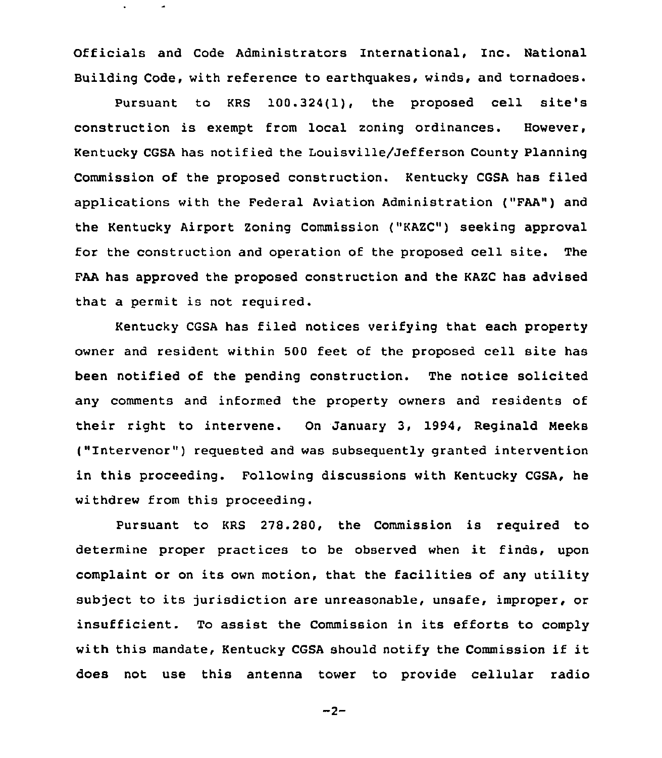Officials and Code Administrators International, Inc. National Building Code, with reference to earthquakes, winds, and tornadoes.

Pursuant to KRS 100.324(1), the proposed cell site's construction is exempt from local zoning ordinances. However, Kentucky CGSA has notified the Louisville/Jefferson County Planning Commission of the proposed construction. Kentucky CGSA has filed applications with the Federal Aviation Administration ("FAA") and the Kentucky Airport Zoning Commission ("KAZC") seeking approval for the construction and operation of the proposed cell site. The FAA has approved the proposed construction and the KAZC has advised that a permit is not required.

Kentucky CGSA has filed notices verifying that each property owner and resident within 500 feet of the proposed cell site has been notified of the pending construction. The notice solicited any comments and informed the property owners and residents of their right to intervene. On January 3, 1994, Reginald Meeks ("Intervenor" ) requested and was subsequently granted intervention in this proceeding. Following discussions with Kentucky CGSA, he withdrew from this proceeding.

Pursuant to KRS 278.280, the Commission is required to determine proper practices to be observed when it finds, upon complaint or on its own motion, that the facilities of any utility subject to its jurisdiction are unreasonable, unsafe, improper, or insufficient. To assist the Commission in its efforts to comply with this mandate, Kentucky CGSA should notify the Commission if it does not use this antenna tower to provide cellular radio

 $-2-$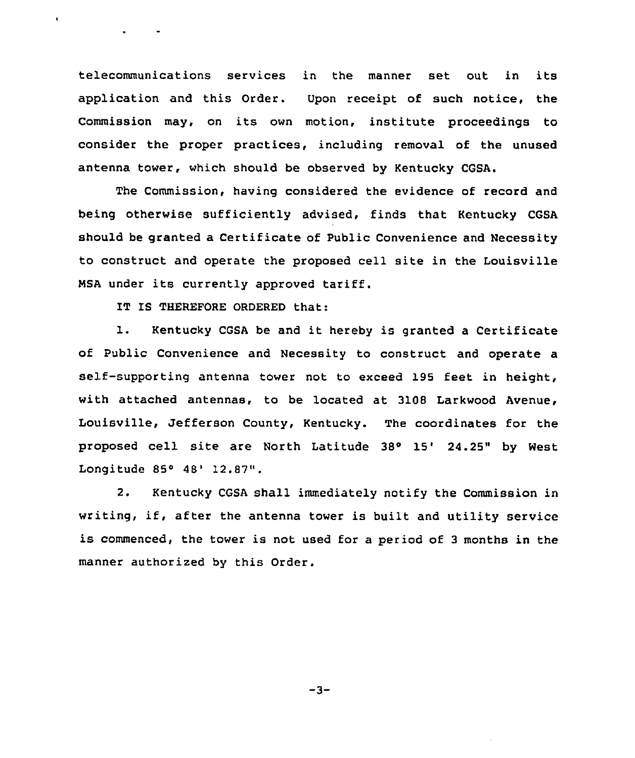telecommunications services in the manner set out in its application and this Order. Upon receipt of such notice, the Commission may, on its own motion, institute proceedings to consider the proper practices, including removal of the unused antenna tower, which should be observed by Kentucky CGSA.

The Commission, having considered the evidence of record and being otherwise sufficiently advised, finds that Kentucky CGSA should be granted a Certificate of Public Convenience and Necessity to construct and operate the proposed cell site in the Louisville NSA under its currently approved tariff.

IT IS THEREFORE ORDERED that:

 $\mathbf{r}$ 

1. Kentucky CGSA be and it hereby is granted <sup>a</sup> Certificate of Public Convenience and Necessity to construct and operate a self-supporting antenna tower not to exceed 195 feet in height, with attached antennas, to be located at 3108 Larkwood Avenue, Louisville, Jefferson County, Kentucky. The coordinates for the proposed cell site are North Latitude 38° 15' 24.25" by West Longitude 85° 48' 12.87".

2. Kentucky CGSA shall immediately notify the Commission in writing, if, after the antenna tower is built and utility service is commenced, the tower is not used for a period of <sup>3</sup> months in the manner authorized by this Order.

-3-